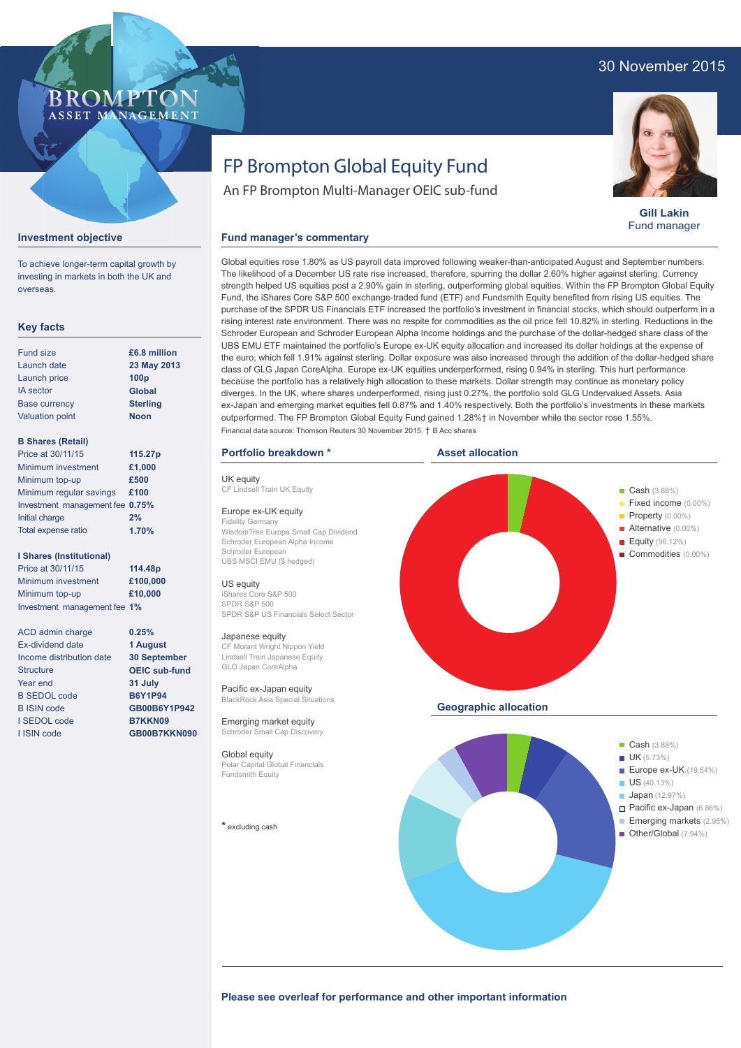# 30 November 2015



**Gill Lakin** Fund manager

# **BROMPTO** ASSET MANAGEMENT

### **Investment objective**

To achieve longer-term capital growth by investing in markets in both the UK and overseas.

## **Key facts**

| <b>Fund size</b>       | £6.8 million     |
|------------------------|------------------|
| Launch date            | 23 May 2013      |
| Launch price           | 100 <sub>p</sub> |
| <b>IA</b> sector       | <b>Global</b>    |
| <b>Base currency</b>   | <b>Sterling</b>  |
| <b>Valuation point</b> | <b>Noon</b>      |
|                        |                  |

## **B Shares (Retail)**

| Price at 30/11/15               | 115.27p |
|---------------------------------|---------|
| Minimum investment              | £1,000  |
| Minimum top-up                  | £500    |
| Minimum regular savings         | £100    |
| Investment management fee 0.75% |         |
| Initial charge                  | 2%      |
| Total expense ratio             | 1.70%   |

#### **I Shares (Institutional)**

Price at 30/11/15 Minimum investment Minimum top-up Investment management fee **1% 114.48p £100,000 £10,000**

> **0.25% 1 August 30 September OEIC sub-fund 31 July B6Y1P94 GB00B6Y1P942 B7KKN09 GB00B7KKN090**

ACD admin charge Ex-dividend date Income distribution date **Structure** Year end B SEDOL code B ISIN code I SEDOL code I ISIN code

# FP Brompton Global Equity Fund

An FP Brompton Multi-Manager OEIC sub-fund

### **Fund manager's commentary**

Global equities rose 1.80% as US payroll data improved following weaker-than-anticipated August and September numbers. The likelihood of a December US rate rise increased, therefore, spurring the dollar 2.60% higher against sterling. Currency strength helped US equities post a 2.90% gain in sterling, outperforming global equities. Within the FP Brompton Global Equity Fund, the iShares Core S&P 500 exchange-traded fund (ETF) and Fundsmith Equity benefited from rising US equities. The purchase of the SPDR US Financials ETF increased the portfolio's investment in financial stocks, which should outperform in a rising interest rate environment. There was no respite for commodities as the oil price fell 10.82% in sterling. Reductions in the Schroder European and Schroder European Alpha Income holdings and the purchase of the dollar-hedged share class of the UBS EMU ETF maintained the portfolio's Europe ex-UK equity allocation and increased its dollar holdings at the expense of the euro, which fell 1.91% against sterling. Dollar exposure was also increased through the addition of the dollar-hedged share class of GLG Japan CoreAlpha. Europe ex-UK equities underperformed, rising 0.94% in sterling. This hurt performance because the portfolio has a relatively high allocation to these markets. Dollar strength may continue as monetary policy diverges. In the UK, where shares underperformed, rising just 0.27%, the portfolio sold GLG Undervalued Assets. Asia ex-Japan and emerging market equities fell 0.87% and 1.40% respectively. Both the portfolio's investments in these markets outperformed. The FP Brompton Global Equity Fund gained 1.28%† in November while the sector rose 1.55%. Financial data source: Thomson Reuters 30 November 2015. † B Acc shares

#### **Portfolio breakdown \***

UK equity CF Lindsell Train UK Fquity

#### Europe ex-UK equity

Fidelity Germany WisdomTree Europe Small Cap Dividend Schroder European Alpha Income Schroder European UBS MSCI EMU (\$ hedged)

#### US equity

iShares Core S&P 500 SPDR S&P 500 SPDR S&P US Financials Select Sector

#### Japanese equity

CF Morant Wright Nippon Yield Lindsell Train Japanese Equity GLG Japan CoreAlpha

Pacific ex-Japan equity BlackRock Asia Special Situations

Emerging market equity Schroder Small Cap Discovery

Global equity Polar Capital Global Financials Fundsmith Equity

**\*** excluding cash



Please see overleaf for performance and other important information